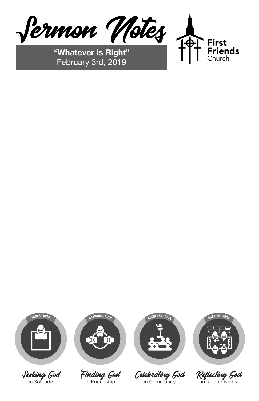Finding God in Friendship



Celebrating God